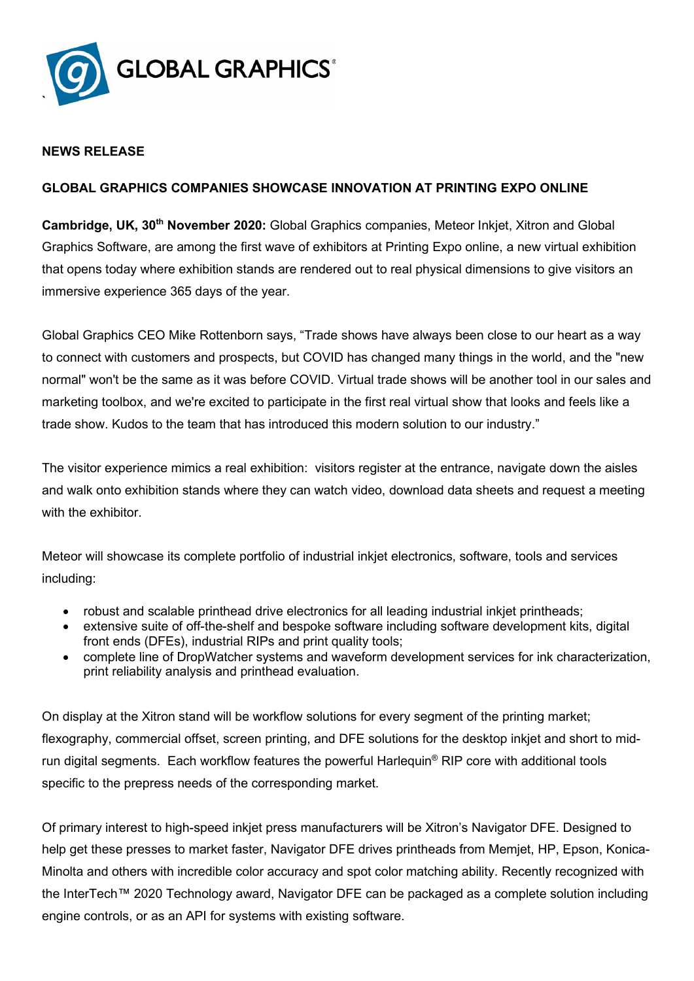

# **NEWS RELEASE**

## **GLOBAL GRAPHICS COMPANIES SHOWCASE INNOVATION AT PRINTING EXPO ONLINE**

**Cambridge, UK, 30th November 2020:** Global Graphics companies, Meteor Inkjet, Xitron and Global Graphics Software, are among the first wave of exhibitors at Printing Expo online, a new virtual exhibition that opens today where exhibition stands are rendered out to real physical dimensions to give visitors an immersive experience 365 days of the year.

Global Graphics CEO Mike Rottenborn says, "Trade shows have always been close to our heart as a way to connect with customers and prospects, but COVID has changed many things in the world, and the "new normal" won't be the same as it was before COVID. Virtual trade shows will be another tool in our sales and marketing toolbox, and we're excited to participate in the first real virtual show that looks and feels like a trade show. Kudos to the team that has introduced this modern solution to our industry."

The visitor experience mimics a real exhibition: visitors register at the entrance, navigate down the aisles and walk onto exhibition stands where they can watch video, download data sheets and request a meeting with the exhibitor.

Meteor will showcase its complete portfolio of industrial inkjet electronics, software, tools and services including:

- robust and scalable printhead drive electronics for all leading industrial inkjet printheads;
- extensive suite of off-the-shelf and bespoke software including software development kits, digital front ends (DFEs), industrial RIPs and print quality tools;
- complete line of DropWatcher systems and waveform development services for ink characterization, print reliability analysis and printhead evaluation.

On display at the Xitron stand will be workflow solutions for every segment of the printing market; flexography, commercial offset, screen printing, and DFE solutions for the desktop inkjet and short to midrun digital segments. Each workflow features the powerful Harlequin® RIP core with additional tools specific to the prepress needs of the corresponding market.

Of primary interest to high-speed inkjet press manufacturers will be Xitron's Navigator DFE. Designed to help get these presses to market faster, Navigator DFE drives printheads from Memjet, HP, Epson, Konica-Minolta and others with incredible color accuracy and spot color matching ability. Recently recognized with the InterTech™ 2020 Technology award, Navigator DFE can be packaged as a complete solution including engine controls, or as an API for systems with existing software.